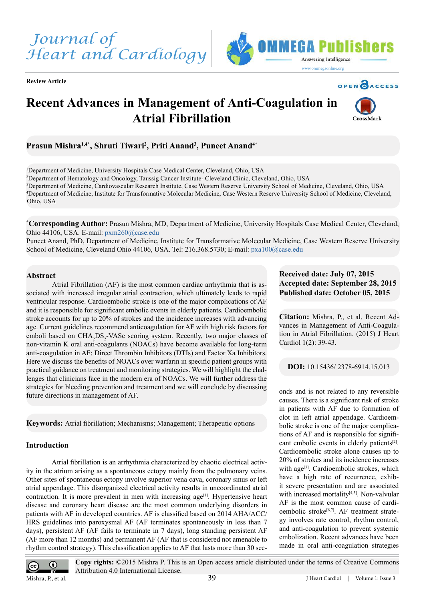

**Review Article**





# **Recent Advances in Management of Anti-Coagulation in Atrial Fibrillation**



# **Prasun Mishra1,4\*, Shruti Tiwari2 , Priti Anand3 , Puneet Anand4\***

 Department of Medicine, University Hospitals Case Medical Center, Cleveland, Ohio, USA Department of Hematology and Oncology, Taussig Cancer Institute- Cleveland Clinic, Cleveland, Ohio, USA Department of Medicine, Cardiovascular Research Institute, Case Western Reserve University School of Medicine, Cleveland, Ohio, USA Department of Medicine, Institute for Transformative Molecular Medicine, Case Western Reserve University School of Medicine, Cleveland, Ohio, USA

**\* Corresponding Author:** Prasun Mishra, MD, Department of Medicine, University Hospitals Case Medical Center, Cleveland, Ohio 44106, USA. E-mail: pxm260@case.edu

Puneet Anand, PhD, Department of Medicine, Institute for Transformative Molecular Medicine, Case Western Reserve University School of Medicine, Cleveland Ohio 44106, USA. Tel: 216.368.5730; E-mail: pxa100@case.edu

## **Abstract**

Atrial Fibrillation (AF) is the most common cardiac arrhythmia that is associated with increased irregular atrial contraction, which ultimately leads to rapid ventricular response. Cardioembolic stroke is one of the major complications of AF and it is responsible for significant embolic events in elderly patients. Cardioembolic stroke accounts for up to 20% of strokes and the incidence increases with advancing age. Current guidelines recommend anticoagulation for AF with high risk factors for emboli based on CHA<sub>2</sub>DS<sub>2</sub>-VASc scoring system. Recently, two major classes of non-vitamin K oral anti-coagulants (NOACs) have become available for long-term anti-coagulation in AF: Direct Thrombin Inhibitors (DTIs) and Factor Xa Inhibitors. Here we discuss the benefits of NOACs over warfarin in specific patient groups with practical guidance on treatment and monitoring strategies. We will highlight the challenges that clinicians face in the modern era of NOACs. We will further address the strategies for bleeding prevention and treatment and we will conclude by discussing future directions in management of AF.

**Keywords:** Atrial fibrillation; Mechanisms; Management; Therapeutic options

# **Introduction**

Atrial fibrillation is an arrhythmia characterized by chaotic electrical activity in the atrium arising as a spontaneous ectopy mainly from the pulmonary veins. Other sites of spontaneous ectopy involve superior vena cava, coronary sinus or left atrial appendage. This disorganized electrical activity results in uncoordinated atrial contraction. It is more prevalent in men with increasing  $age^{[1]}$  $age^{[1]}$  $age^{[1]}$ . Hypertensive heart disease and coronary heart disease are the most common underlying disorders in patients with AF in developed countries. AF is classified based on 2014 AHA/ACC/ HRS guidelines into paroxysmal AF (AF terminates spontaneously in less than 7 days), persistent AF (AF fails to terminate in 7 days), long standing persistent AF (AF more than 12 months) and permanent AF (AF that is considered not amenable to rhythm control strategy). This classification applies to AF that lasts more than 30 sec-

# **Received date: July 07, 2015 Accepted date: September 28, 2015 Published date: October 05, 2015**

**Citation:** Mishra, P., et al. Recent Advances in Management of Anti-Coagulation in Atrial Fibrillation. (2015) J Heart Cardiol 1(2): 39-43.

**DOI:** 10.15436/ 2378-6914.15.013

onds and is not related to any reversible causes. There is a significant risk of stroke in patients with AF due to formation of clot in left atrial appendage. Cardioembolic stroke is one of the major complications of AF and is responsible for significant embolic events in elderly patients<sup>[2]</sup>. Cardioembolic stroke alone causes up to 20% of strokes and its incidence increases with age<sup>[3]</sup>. Cardioembolic strokes, which have a high rate of recurrence, exhibit severe presentation and are associated with increased mortality<sup>[4,5]</sup>. Non-valvular AF is the most common cause of cardioembolic stroke<sup>[6,7]</sup>. AF treatment strategy involves rate control, rhythm control, and anti-coagulation to prevent systemic embolization. Recent advances have been made in oral anti-coagulation strategies



**Copy rights:** ©2015 Mishra P. This is an Open access article distributed under the terms of Creative Commons Attribution 4.0 International License.

Mishra, P., et al.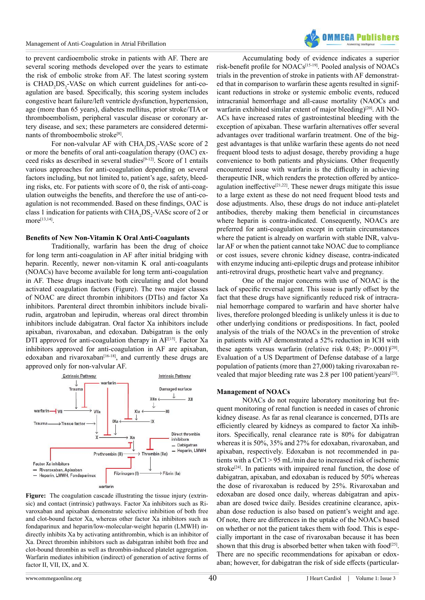

to prevent cardioembolic stroke in patients with AF. There are several scoring methods developed over the years to estimate the risk of embolic stroke from AF. The latest scoring system is  $CHAD<sub>2</sub>DS<sub>2</sub> - VASC on which current guidelines for anti-co$ agulation are based. Specifically, this scoring system includes congestive heart failure/left ventricle dysfunction, hypertension, age (more than 65 years), diabetes mellitus, prior stroke/TIA or thromboembolism, peripheral vascular disease or coronary artery disease, and sex; these parameters are considered determinants of thromboembolic strok[e\[8\]](#page-3-1).

For non-valvular AF with  $CHA_2DS_2$ -VASc score of 2 or more the benefits of oral anti-coagulation therapy (OAC) exceed risks as described in several studies[\[9-12\]](#page-3-2). Score of 1 entails various approaches for anti-coagulation depending on several factors including, but not limited to, patient's age, safety, bleeding risks, etc. For patients with score of 0, the risk of anti-coagulation outweighs the benefits, and therefore the use of anti-coagulation is not recommended. Based on these findings, OAC is class 1 indication for patients with  $\text{CHA}_{2}\text{DS}_{2}$ -VASc score of 2 or more[\[13,14\].](#page-3-3)

#### **Benefits of New Non-Vitamin K Oral Anti-Coagulants**

Traditionally, warfarin has been the drug of choice for long term anti-coagulation in AF after initial bridging with heparin. Recently, newer non-vitamin K oral anti-coagulants (NOACs) have become available for long term anti-coagulation in AF. These drugs inactivate both circulating and clot bound activated coagulation factors (Figure). The two major classes of NOAC are direct thrombin inhibitors (DTIs) and factor Xa inhibitors. Parenteral direct thrombin inhibitors include bivalirudin, argatroban and lepirudin, whereas oral direct thrombin inhibitors include dabigatran. Oral factor Xa inhibitors include apixaban, rivaroxaban, and edoxaban. Dabigatran is the only DTI approved for anti-coagulation therapy in AF[\[15\].](#page-3-4) Factor Xa inhibitors approved for anti-coagulation in AF are apixaban, edoxaban and rivaroxaban $[16-18]$ , and currently these drugs are approved only for non-valvular AF.



**Figure:** The coagulation cascade illustrating the tissue injury (extrinsic) and contact (intrinsic) pathways. Factor Xa inhibitors such as Rivaroxaban and apixaban demonstrate selective inhibition of both free and clot-bound factor Xa, whereas other factor Xa inhibitors such as fondaparinux and heparin/low-molecular-weight heparin (LMWH) indirectly inhibits Xa by activating antithrombin, which is an inhibitor of Xa. Direct thrombin inhibitors such as dabigatran inhibit both free and clot-bound thrombin as well as thrombin-induced platelet aggregation. Warfarin mediates inhibition (indirect) of generation of active forms of factor II, VII, IX, and X.

Accumulating body of evidence indicates a superior risk-benefit profile for NOACs[\[15-19\]](#page-3-4). Pooled analysis of NOACs trials in the prevention of stroke in patients with AF demonstrated that in comparison to warfarin these agents resulted in significant reductions in stroke or systemic embolic events, reduced intracranial hemorrhage and all-cause mortality (NAOCs and warfarin exhibited similar extent of major bleeding)<sup>[20]</sup>. All NO-ACs have increased rates of gastrointestinal bleeding with the exception of apixaban. These warfarin alternatives offer several advantages over traditional warfarin treatment. One of the biggest advantages is that unlike warfarin these agents do not need frequent blood tests to adjust dosage, thereby providing a huge convenience to both patients and physicians. Other frequently encountered issue with warfarin is the difficulty in achieving therapeutic INR, which renders the protection offered by anticoagulation ineffective<sup>[21,22]</sup>. These newer drugs mitigate this issue to a large extent as these do not need frequent blood tests and dose adjustments. Also, these drugs do not induce anti-platelet antibodies, thereby making them beneficial in circumstances where heparin is contra-indicated. Consequently, NOACs are preferred for anti-coagulation except in certain circumstances where the patient is already on warfarin with stable INR, valvular AF or when the patient cannot take NOAC due to compliance or cost issues, severe chronic kidney disease, contra-indicated with enzyme inducing anti-epileptic drugs and protease inhibitor anti-retroviral drugs, prosthetic heart valve and pregnancy.

One of the major concerns with use of NOAC is the lack of specific reversal agent. This issue is partly offset by the fact that these drugs have significantly reduced risk of intracranial hemorrhage compared to warfarin and have shorter halve lives, therefore prolonged bleeding is unlikely unless it is due to other underlying conditions or predispositions. In fact, pooled analysis of the trials of the NOACs in the prevention of stroke in patients with AF demonstrated a 52% reduction in ICH with these agents versus warfarin (relative risk  $0.48$ ; P $> 0.001$ )<sup>[20]</sup>. Evaluation of a US Department of Defense database of a large population of patients (more than 27,000) taking rivaroxaban revealed that major bleeding rate was 2.8 per 100 patient/years<sup>[23]</sup>.

#### **Management of NOACs**

NOACs do not require laboratory monitoring but frequent monitoring of renal function is needed in cases of chronic kidney disease. As far as renal clearance is concerned, DTIs are efficiently cleared by kidneys as compared to factor Xa inhibitors. Specifically, renal clearance rate is 80% for dabigatran whereas it is 50%, 35% and 27% for edoxaban, rivaroxaban, and apixaban, respectively. Edoxaban is not recommended in patients with a CrCl > 95 mL/min due to increased risk of ischemic stroke<sup>[24]</sup>. In patients with impaired renal function, the dose of dabigatran, apixaban, and edoxaban is reduced by 50% whereas the dose of rivaroxaban is reduced by 25%. Rivaroxaban and edoxaban are dosed once daily, whereas dabigatran and apixaban are dosed twice daily. Besides creatinine clearance, apixaban dose reduction is also based on patient's weight and age. Of note, there are differences in the uptake of the NOACs based on whether or not the patient takes them with food. This is especially important in the case of rivaroxaban because it has been shown that this drug is absorbed better when taken with food $[25]$ . There are no specific recommendations for apixaban or edoxaban; however, for dabigatran the risk of side effects (particular-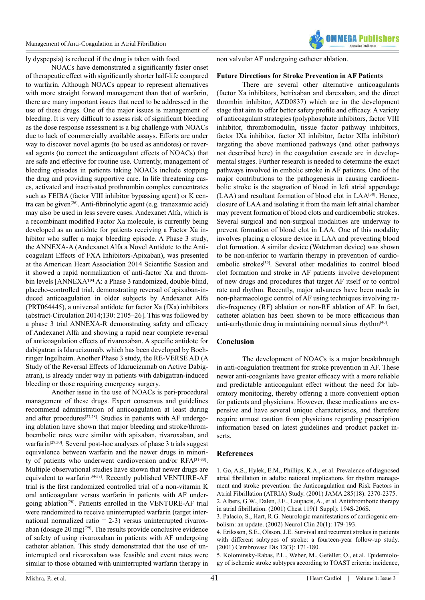

ly dyspepsia) is reduced if the drug is taken with food.

NOACs have demonstrated a significantly faster onset of therapeutic effect with significantly shorter half-life compared to warfarin. Although NOACs appear to represent alternatives with more straight forward management than that of warfarin, there are many important issues that need to be addressed in the use of these drugs. One of the major issues is management of bleeding. It is very difficult to assess risk of significant bleeding as the dose response assessment is a big challenge with NOACs due to lack of commercially available assays. Efforts are under way to discover novel agents (to be used as antidotes) or reversal agents (to correct the anticoagulant effects of NOACs) that are safe and effective for routine use. Currently, management of bleeding episodes in patients taking NOACs include stopping the drug and providing supportive care. In life threatening cases, activated and inactivated prothrombin complex concentrates such as FEIBA (factor VIII inhibitor bypassing agent) or K centra can be give[n\[26\].](#page-3-11) Anti-fibrinolytic agent (e.g. tranexamic acid) may also be used in less severe cases. Andexanet Alfa, which is a recombinant modified Factor Xa molecule, is currently being developed as an antidote for patients receiving a Factor Xa inhibitor who suffer a major bleeding episode. A Phase 3 study, the ANNEXA-A (Andexanet Alfa a Novel Antidote to the Anticoagulant Effects of FXA Inhibitors-Apixaban), was presented at the American Heart Association 2014 Scientific Session and it showed a rapid normalization of anti-factor Xa and thrombin levels [ANNEXA™ A: a Phase 3 randomized, double-blind, placebo-controlled trial, demonstrating reversal of apixaban-induced anticoagulation in older subjects by Andexanet Alfa (PRT064445), a universal antidote for factor Xa (fXa) inhibitors (abstract-Circulation 2014;130: 2105–26]. This was followed by a phase 3 trial ANNEXA-R demonstrating safety and efficacy of Andexanet Alfa and showing a rapid near complete reversal of anticoagulation effects of rivaroxaban. A specific antidote for dabigatran is Idarucizumab, which has been developed by Boehringer Ingelheim. Another Phase 3 study, the RE-VERSE AD (A Study of the Reversal Effects of Idarucizumab on Active Dabigatran), is already under way in patients with dabigatran-induced bleeding or those requiring emergency surgery.

Another issue in the use of NOACs is peri-procedural management of these drugs. Expert consensus and guidelines recommend administration of anticoagulation at least during and after procedures<sup>[27,28]</sup>. Studies in patients with AF undergoing ablation have shown that major bleeding and stroke/thromboembolic rates were similar with apixaban, rivaroxaban, and warfarin<sup>[29,30]</sup>. Several post-hoc analyses of phase 3 trials suggest equivalence between warfarin and the newer drugs in minority of patients who underwent cardioversion and/or RFA[\[3](#page-3-14)1-33]. Multiple observational studies have shown that newer drugs are equivalent to warfari[n\[34-37\].](#page-3-15) Recently published VENTURE-AF trial is the first randomized controlled trial of a non-vitamin K oral anticoagulant versus warfarin in patients with AF under-going ablation<sup>[\[28\]](#page-3-16)</sup>. Patients enrolled in the VENTURE-AF trial were randomized to receive uninterrupted warfarin (target international normalized ratio  $= 2-3$ ) versus uninterrupted rivaroxaban (dosage 20 mg)<sup>[29]</sup>. The results provide conclusive evidence of safety of using rivaroxaban in patients with AF undergoing catheter ablation. This study demonstrated that the use of uninterrupted oral rivaroxaban was feasible and event rates were similar to those obtained with uninterrupted warfarin therapy in

non valvular AF undergoing catheter ablation.

## **Future Directions for Stroke Prevention in AF Patients**

There are several other alternative anticoagulants (factor Xa inhibitors, betrixaban and darexaban, and the direct thrombin inhibitor, AZD0837) which are in the development stage that aim to offer better safety profile and efficacy. A variety of anticoagulant strategies (polyphosphate inhibitors, factor VIII inhibitor, thrombomodulin, tissue factor pathway inhibitors, factor IXa inhibitor, factor XI inhibitor, factor XIIa inhibitor) targeting the above mentioned pathways (and other pathways not described here) in the coagulation cascade are in developmental stages. Further research is needed to determine the exact pathways involved in embolic stroke in AF patients. One of the major contributions to the pathogenesis in causing cardioembolic stroke is the stagnation of blood in left atrial appendage (LAA) and resultant formation of blood clot in LA[A\[38\].](#page-4-0) Hence, closure of LAA and isolating it from the main left atrial chamber may prevent formation of blood clots and cardioembolic strokes. Several surgical and non-surgical modalities are underway to prevent formation of blood clot in LAA. One of this modality involves placing a closure device in LAA and preventing blood clot formation. A similar device (Watchman device) was shown to be non-inferior to warfarin therapy in prevention of cardio-embolic strokes<sup>[\[39\]](#page-4-1)</sup>. Several other modalities to control blood clot formation and stroke in AF patients involve development of new drugs and procedures that target AF itself or to control rate and rhythm. Recently, major advances have been made in non-pharmacologic control of AF using techniques involving radio-frequency (RF) ablation or non-RF ablation of AF. In fact, catheter ablation has been shown to be more efficacious than anti-arrhythmic drug in maintaining normal sinus rhyth[m\[40\]](#page-4-2).

### **Conclusion**

The development of NOACs is a major breakthrough in anti-coagulation treatment for stroke prevention in AF. These newer anti-coagulants have greater efficacy with a more reliable and predictable anticoagulant effect without the need for laboratory monitoring, thereby offering a more convenient option for patients and physicians. However, these medications are expensive and have several unique characteristics, and therefore require utmost caution from physicians regarding prescription information based on latest guidelines and product packet inserts.

#### **References**

<span id="page-2-0"></span>[1. Go, A.S., Hylek, E.M., Phillips, K.A., et al. Prevalence of diagnosed](http://www.ncbi.nlm.nih.gov/pubmed/11343485) [atrial fibrillation in adults: national implications for rhythm manage](http://www.ncbi.nlm.nih.gov/pubmed/11343485)[ment and stroke prevention: the Anticoagulation and Risk Factors in](http://www.ncbi.nlm.nih.gov/pubmed/11343485) [Atrial Fibrillation \(ATRIA\) Study. \(2001\) JAMA 285\(18\): 2370-2375.](http://www.ncbi.nlm.nih.gov/pubmed/11343485)

<span id="page-2-1"></span>[<sup>2.</sup> Albers, G.W., Dalen, J.E., Laupacis, A., et al. Antithrombotic therapy](http://www.ncbi.nlm.nih.gov/pubmed/11157649) [in atrial fibrillation. \(2001\) Chest 119\(1 Suppl\): 194S-206S.](http://www.ncbi.nlm.nih.gov/pubmed/11157649)

<span id="page-2-2"></span>[<sup>3.</sup> Palacio, S., Hart, R.G. Neurologic manifestations of cardiogenic em](http://www.ncbi.nlm.nih.gov/pubmed/11754306)[bolism: an update. \(2002\) Neurol Clin 20\(1\): 179-193.](http://www.ncbi.nlm.nih.gov/pubmed/11754306)

<span id="page-2-3"></span>[<sup>4.</sup> Eriksson, S.E., Olsson, J.E. Survival and recurrent strokes in patients](http://www.ncbi.nlm.nih.gov/pubmed/11641580) [with different subtypes of stroke: a fourteen-year follow-up study.](http://www.ncbi.nlm.nih.gov/pubmed/11641580) [\(2001\) Cerebrovasc Dis 12\(3\): 171-180.](http://www.ncbi.nlm.nih.gov/pubmed/11641580)

[<sup>5.</sup> Kolominsky-Rabas, P.L., Weber, M., Gefeller, O., et al. Epidemiolo](http://www.ncbi.nlm.nih.gov/pubmed/11739965)[gy of ischemic stroke subtypes according to TOAST criteria: incidence,](http://www.ncbi.nlm.nih.gov/pubmed/11739965)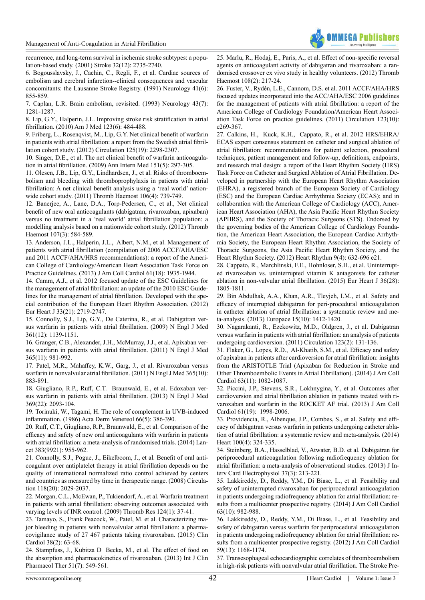

[recurrence, and long-term survival in ischemic stroke subtypes: a popu](http://www.ncbi.nlm.nih.gov/pubmed/11739965)[lation-based study. \(2001\) Stroke 32\(12\): 2735-2740.](http://www.ncbi.nlm.nih.gov/pubmed/11739965)

<span id="page-3-0"></span>[6. Bogousslavsky, J., Cachin, C., Regli, F., et al. Cardiac sources of](http://www.ncbi.nlm.nih.gov/pubmed/2046930)  [embolism and cerebral infarction--clinical consequences and vascular](http://www.ncbi.nlm.nih.gov/pubmed/2046930)  [concomitants: the Lausanne Stroke Registry. \(1991\) Neurology 41\(6\):](http://www.ncbi.nlm.nih.gov/pubmed/2046930)  [855-859.](http://www.ncbi.nlm.nih.gov/pubmed/2046930)

[7. Caplan, L.R. Brain embolism, revisited. \(1993\) Neurology 43\(7\):](http://www.ncbi.nlm.nih.gov/pubmed/8327124)  [1281-1287.](http://www.ncbi.nlm.nih.gov/pubmed/8327124)

<span id="page-3-1"></span>[8. Lip, G.Y., Halperin, J.L. Improving stroke risk stratification in atrial](http://www.ncbi.nlm.nih.gov/pubmed/20569748)  [fibrillation. \(2010\) Am J Med 123\(6\): 484-488.](http://www.ncbi.nlm.nih.gov/pubmed/20569748)

<span id="page-3-2"></span>[9. Friberg, L., Rosenqvist, M., Lip, G.Y. Net clinical benefit of warfarin](http://www.ncbi.nlm.nih.gov/pubmed/22514252)  [in patients with atrial fibrillation: a report from the Swedish atrial fibril](http://www.ncbi.nlm.nih.gov/pubmed/22514252)[lation cohort study. \(2012\) Circulation 125\(19\): 2298-2307.](http://www.ncbi.nlm.nih.gov/pubmed/22514252)

[10. Singer, D.E., et al. The net clinical benefit of warfarin anticoagula](http://annals.org/article.aspx?articleid=744699)[tion in atrial fibrillation. \(2009\) Ann Intern Med 151\(5\): 297-305.](http://annals.org/article.aspx?articleid=744699)

[11. Olesen, J.B., Lip, G.Y., Lindhardsen, J., et al. Risks of thromboem](http://www.ncbi.nlm.nih.gov/pubmed/21789337)[bolism and bleeding with thromboprophylaxis in patients with atrial](http://www.ncbi.nlm.nih.gov/pubmed/21789337)  [fibrillation: A net clinical benefit analysis using a 'real world' nation](http://www.ncbi.nlm.nih.gov/pubmed/21789337)[wide cohort study. \(2011\) Thromb Haemost 106\(4\): 739-749.](http://www.ncbi.nlm.nih.gov/pubmed/21789337)

[12. Banerjee, A., Lane, D.A., Torp-Pedersen, C., et al., Net clinical](http://www.ncbi.nlm.nih.gov/pubmed/22186961)  [benefit of new oral anticoagulants \(dabigatran, rivaroxaban, apixaban\)](http://www.ncbi.nlm.nih.gov/pubmed/22186961)  [versus no treatment in a 'real world' atrial fibrillation population: a](http://www.ncbi.nlm.nih.gov/pubmed/22186961)  [modelling analysis based on a nationwide cohort study. \(2012\) Thromb](http://www.ncbi.nlm.nih.gov/pubmed/22186961)  [Haemost 107\(3\): 584-589.](http://www.ncbi.nlm.nih.gov/pubmed/22186961)

<span id="page-3-3"></span>[13. Anderson, J.L., Halperin, J.L., Albert, N.M., et al. Management of](http://www.ncbi.nlm.nih.gov/pubmed/23558044)  [patients with atrial fibrillation \(compilation of 2006 ACCF/AHA/ESC](http://www.ncbi.nlm.nih.gov/pubmed/23558044)  [and 2011 ACCF/AHA/HRS recommendations\): a report of the Ameri](http://www.ncbi.nlm.nih.gov/pubmed/23558044)[can College of Cardiology/American Heart Association Task Force on](http://www.ncbi.nlm.nih.gov/pubmed/23558044)  [Practice Guidelines. \(2013\) J Am Coll Cardiol 61\(18\): 1935-1944.](http://www.ncbi.nlm.nih.gov/pubmed/23558044)

[14. Camm, A.J., et al. 2012 focused update of the ESC Guidelines for](http://www.ncbi.nlm.nih.gov/pubmed/22922413)  [the management of atrial fibrillation: an update of the 2010 ESC Guide](http://www.ncbi.nlm.nih.gov/pubmed/22922413)[lines for the management of atrial fibrillation. Developed with the spe](http://www.ncbi.nlm.nih.gov/pubmed/22922413)[cial contribution of the European Heart Rhythm Association. \(2012\)](http://www.ncbi.nlm.nih.gov/pubmed/22922413)  [Eur Heart J 33\(21\): 2719-2747.](http://www.ncbi.nlm.nih.gov/pubmed/22922413)

<span id="page-3-4"></span>[15. Connolly, S.J., Lip, G.Y., De Caterina, R., et al. Dabigatran ver](http://www.ncbi.nlm.nih.gov/pubmed/22922413)[sus warfarin in patients with atrial fibrillation. \(2009\) N Engl J Med](http://www.ncbi.nlm.nih.gov/pubmed/22922413)  [361\(12\): 1139-1151.](http://www.ncbi.nlm.nih.gov/pubmed/22922413)

<span id="page-3-5"></span>[16. Granger, C.B., Alexander, J.H., McMurray, J.J., et al. Apixaban ver](http://www.ncbi.nlm.nih.gov/pubmed/21870978)[sus warfarin in patients with atrial fibrillation. \(2011\) N Engl J Med](http://www.ncbi.nlm.nih.gov/pubmed/21870978)  [365\(11\): 981-992.](http://www.ncbi.nlm.nih.gov/pubmed/21870978)

[17. Patel, M.R., Mahaffey, K.W., Garg, J., et al. Rivaroxaban versus](http://www.ncbi.nlm.nih.gov/pubmed/21830957)  [warfarin in nonvalvular atrial fibrillation. \(2011\) N Engl J Med 365\(10\):](http://www.ncbi.nlm.nih.gov/pubmed/21830957)  [883-891.](http://www.ncbi.nlm.nih.gov/pubmed/21830957)

[18. Giugliano, R.P., Ruff, C.T. Braunwald, E., et al. Edoxaban ver](http://www.ncbi.nlm.nih.gov/pubmed/24251359)[sus warfarin in patients with atrial fibrillation. \(2013\) N Engl J Med](http://www.ncbi.nlm.nih.gov/pubmed/24251359)  [369\(22\): 2093-104.](http://www.ncbi.nlm.nih.gov/pubmed/24251359)

[19. Torinuki, W., Tagami, H. The role of complement in UVB-induced](http://www.ncbi.nlm.nih.gov/pubmed/2431574)  [inflammation. \(1986\) Acta Derm Venereol 66\(5\): 386-390.](http://www.ncbi.nlm.nih.gov/pubmed/2431574)

<span id="page-3-6"></span>[20. Ruff, C.T., Giugliano, R.P., Braunwald, E., et al. Comparison of the](http://www.ncbi.nlm.nih.gov/pubmed/24315724)  [efficacy and safety of new oral anticoagulants with warfarin in patients](http://www.ncbi.nlm.nih.gov/pubmed/24315724)  [with atrial fibrillation: a meta-analysis of randomised trials. \(2014\) Lan](http://www.ncbi.nlm.nih.gov/pubmed/24315724)[cet 383\(9921\): 955-962.](http://www.ncbi.nlm.nih.gov/pubmed/24315724)

<span id="page-3-7"></span>[21. Connolly, S.J., Pogue, J., Eikelboom, J., et al. Benefit of oral anti](http://www.ncbi.nlm.nih.gov/pubmed/18955670)[coagulant over antiplatelet therapy in atrial fibrillation depends on the](http://www.ncbi.nlm.nih.gov/pubmed/18955670)  [quality of international normalized ratio control achieved by centers](http://www.ncbi.nlm.nih.gov/pubmed/18955670)  [and countries as measured by time in therapeutic range. \(2008\) Circula](http://www.ncbi.nlm.nih.gov/pubmed/18955670)[tion 118\(20\): 2029-2037.](http://www.ncbi.nlm.nih.gov/pubmed/18955670)

[22. Morgan, C.L., McEwan, P., Tukiendorf, A., et al. Warfarin treatment](http://www.ncbi.nlm.nih.gov/pubmed/19062079)  [in patients with atrial fibrillation: observing outcomes associated with](http://www.ncbi.nlm.nih.gov/pubmed/19062079)  [varying levels of INR control. \(2009\) Thromb Res 124\(1\): 37-41.](http://www.ncbi.nlm.nih.gov/pubmed/19062079)

<span id="page-3-8"></span>[23. Tamayo, S., Frank Peacock, W., Patel, M. et al. Characterizing ma](http://www.ncbi.nlm.nih.gov/pubmed/25588595)[jor bleeding in patients with nonvalvular atrial fibrillation: a pharma](http://www.ncbi.nlm.nih.gov/pubmed/25588595)[covigilance study of 27 467 patients taking rivaroxaban. \(2015\) Clin](http://www.ncbi.nlm.nih.gov/pubmed/25588595)  [Cardiol 38\(2\): 63-68.](http://www.ncbi.nlm.nih.gov/pubmed/25588595)

<span id="page-3-9"></span>[24. Stampfuss, J., Kubitza D Becka, M., et al. The effect of food on](http://www.ncbi.nlm.nih.gov/pubmed/23458226)  [the absorption and pharmacokinetics of rivaroxaban. \(2013\) Int J Clin](http://www.ncbi.nlm.nih.gov/pubmed/23458226)  [Pharmacol Ther 51\(7\): 549-561.](http://www.ncbi.nlm.nih.gov/pubmed/23458226)

<span id="page-3-10"></span>[25. Marlu, R., Hodaj, E., Paris, A., et al. Effect of non-specific reversal](http://www.ncbi.nlm.nih.gov/pubmed/22627883) [agents on anticoagulant activity of dabigatran and rivaroxaban: a ran](http://www.ncbi.nlm.nih.gov/pubmed/22627883)[domised crossover ex vivo study in healthy volunteers. \(2012\) Thromb](http://www.ncbi.nlm.nih.gov/pubmed/22627883) [Haemost 108\(2\): 217-24.](http://www.ncbi.nlm.nih.gov/pubmed/22627883)

<span id="page-3-11"></span>[26. Fuster, V., Rydén, L.E., Cannom, D.S. et al. 2011 ACCF/AHA/HRS](http://www.ncbi.nlm.nih.gov/pubmed/21382897) [focused updates incorporated into the ACC/AHA/ESC 2006 guidelines](http://www.ncbi.nlm.nih.gov/pubmed/21382897) [for the management of patients with atrial fibrillation: a report of the](http://www.ncbi.nlm.nih.gov/pubmed/21382897) [American College of Cardiology Foundation/American Heart Associ](http://www.ncbi.nlm.nih.gov/pubmed/21382897)[ation Task Force on practice guidelines. \(2011\) Circulation 123\(10\):](http://www.ncbi.nlm.nih.gov/pubmed/21382897) [e269-367.](http://www.ncbi.nlm.nih.gov/pubmed/21382897)

<span id="page-3-12"></span>[27. Calkins, H., Kuck, K.H., Cappato, R., et al. 2012 HRS/EHRA/](http://www.ncbi.nlm.nih.gov/pubmed/22386883) [ECAS expert consensus statement on catheter and surgical ablation of](http://www.ncbi.nlm.nih.gov/pubmed/22386883) [atrial fibrillation: recommendations for patient selection, procedural](http://www.ncbi.nlm.nih.gov/pubmed/22386883) [techniques, patient management and follow-up, definitions, endpoints,](http://www.ncbi.nlm.nih.gov/pubmed/22386883) [and research trial design: a report of the Heart Rhythm Society \(HRS\)](http://www.ncbi.nlm.nih.gov/pubmed/22386883) [Task Force on Catheter and Surgical Ablation of Atrial Fibrillation. De](http://www.ncbi.nlm.nih.gov/pubmed/22386883)[veloped in partnership with the European Heart Rhythm Association](http://www.ncbi.nlm.nih.gov/pubmed/22386883) [\(EHRA\), a registered branch of the European Society of Cardiology](http://www.ncbi.nlm.nih.gov/pubmed/22386883) [\(ESC\) and the European Cardiac Arrhythmia Society \(ECAS\); and in](http://www.ncbi.nlm.nih.gov/pubmed/22386883) [collaboration with the American College of Cardiology \(ACC\), Amer](http://www.ncbi.nlm.nih.gov/pubmed/22386883)[ican Heart Association \(AHA\), the Asia Pacific Heart Rhythm Society](http://www.ncbi.nlm.nih.gov/pubmed/22386883) [\(APHRS\), and the Society of Thoracic Surgeons \(STS\). Endorsed by](http://www.ncbi.nlm.nih.gov/pubmed/22386883) [the governing bodies of the American College of Cardiology Founda](http://www.ncbi.nlm.nih.gov/pubmed/22386883)[tion, the American Heart Association, the European Cardiac Arrhyth](http://www.ncbi.nlm.nih.gov/pubmed/22386883)[mia Society, the European Heart Rhythm Association, the Society of](http://www.ncbi.nlm.nih.gov/pubmed/22386883) [Thoracic Surgeons, the Asia Pacific Heart Rhythm Society, and the](http://www.ncbi.nlm.nih.gov/pubmed/22386883) [Heart Rhythm Society. \(2012\) Heart Rhythm 9\(4\): 632-696 e21.](http://www.ncbi.nlm.nih.gov/pubmed/22386883)

<span id="page-3-16"></span>[28. Cappato, R., Marchlinski, F.E., Hohnloser, S.H., et al. Uninterrupt](http://www.ncbi.nlm.nih.gov/pubmed/25975659)[ed rivaroxaban vs. uninterrupted vitamin K antagonists for catheter](http://www.ncbi.nlm.nih.gov/pubmed/25975659) [ablation in non-valvular atrial fibrillation. \(2015\) Eur Heart J 36\(28\):](http://www.ncbi.nlm.nih.gov/pubmed/25975659) [1805-1811.](http://www.ncbi.nlm.nih.gov/pubmed/25975659)

<span id="page-3-13"></span>[29. Bin Abdulhak, A.A., Khan, A.R., Tleyjeh, I.M., et al. Safety and](http://www.ncbi.nlm.nih.gov/pubmed/23954918) [efficacy of interrupted dabigatran for peri-procedural anticoagulation](http://www.ncbi.nlm.nih.gov/pubmed/23954918) [in catheter ablation of atrial fibrillation: a systematic review and me](http://www.ncbi.nlm.nih.gov/pubmed/23954918)[ta-analysis. \(2013\) Europace 15\(10\): 1412-1420.](http://www.ncbi.nlm.nih.gov/pubmed/23954918)

<span id="page-3-14"></span>[30. Nagarakanti, R., Ezekowitz, M.D., Oldgren, J., et al. Dabigatran](http://www.ncbi.nlm.nih.gov/pubmed/21200007) [versus warfarin in patients with atrial fibrillation: an analysis of patients](http://www.ncbi.nlm.nih.gov/pubmed/21200007) [undergoing cardioversion. \(2011\) Circulation 123\(2\): 131-136.](http://www.ncbi.nlm.nih.gov/pubmed/21200007)

[31. Flaker, G., Lopes, R.D., Al-Khatib, S.M., et al. Efficacy and safety](http://www.ncbi.nlm.nih.gov/pubmed/24211508) [of apixaban in patients after cardioversion for atrial fibrillation: insights](http://www.ncbi.nlm.nih.gov/pubmed/24211508) [from the ARISTOTLE Trial \(Apixaban for Reduction in Stroke and](http://www.ncbi.nlm.nih.gov/pubmed/24211508) [Other Thromboembolic Events in Atrial Fibrillation\). \(2014\) J Am Coll](http://www.ncbi.nlm.nih.gov/pubmed/24211508) [Cardiol 63\(11\): 1082-1087.](http://www.ncbi.nlm.nih.gov/pubmed/24211508)

[32. Piccini, J.P., Stevens, S.R., Lokhnygina, Y., et al. Outcomes after](http://www.ncbi.nlm.nih.gov/pubmed/23500298) [cardioversion and atrial fibrillation ablation in patients treated with ri](http://www.ncbi.nlm.nih.gov/pubmed/23500298)[varoxaban and warfarin in the ROCKET AF trial. \(2013\) J Am Coll](http://www.ncbi.nlm.nih.gov/pubmed/23500298) [Cardiol 61\(19\): 1998-2006.](http://www.ncbi.nlm.nih.gov/pubmed/23500298)

[33. Providencia, R., Albenque, J.P., Combes, S., et al. Safety and effi](http://www.ncbi.nlm.nih.gov/pubmed/23878175)[cacy of dabigatran versus warfarin in patients undergoing catheter abla](http://www.ncbi.nlm.nih.gov/pubmed/23878175)[tion of atrial fibrillation: a systematic review and meta-analysis. \(2014\)](http://www.ncbi.nlm.nih.gov/pubmed/23878175) [Heart 100\(4\): 324-335.](http://www.ncbi.nlm.nih.gov/pubmed/23878175)

<span id="page-3-15"></span>[34. Steinberg, B.A., Hasselblad, V., Atwater, B.D. et al. Dabigatran for](http://www.ncbi.nlm.nih.gov/pubmed/23881249) [periprocedural anticoagulation following radiofrequency ablation for](http://www.ncbi.nlm.nih.gov/pubmed/23881249) [atrial fibrillation: a meta-analysis of observational studies. \(2013\) J In](http://www.ncbi.nlm.nih.gov/pubmed/23881249)[terv Card Electrophysiol 37\(3\): 213-221.](http://www.ncbi.nlm.nih.gov/pubmed/23881249)

[35. Lakkireddy, D., Reddy, Y.M., Di Biase, L., et al. Feasibility and](http://www.ncbi.nlm.nih.gov/pubmed/24412445) [safety of uninterrupted rivaroxaban for periprocedural anticoagulation](http://www.ncbi.nlm.nih.gov/pubmed/24412445) [in patients undergoing radiofrequency ablation for atrial fibrillation: re](http://www.ncbi.nlm.nih.gov/pubmed/24412445)[sults from a multicenter prospective registry. \(2014\) J Am Coll Cardiol](http://www.ncbi.nlm.nih.gov/pubmed/24412445) [63\(10\): 982-988.](http://www.ncbi.nlm.nih.gov/pubmed/24412445)

[36. Lakkireddy, D., Reddy, Y.M., Di Biase, L., et al. Feasibility and](http://www.ncbi.nlm.nih.gov/pubmed/22305113) [safety of dabigatran versus warfarin for periprocedural anticoagulation](http://www.ncbi.nlm.nih.gov/pubmed/22305113) [in patients undergoing radiofrequency ablation for atrial fibrillation: re](http://www.ncbi.nlm.nih.gov/pubmed/22305113)[sults from a multicenter prospective registry. \(2012\) J Am Coll Cardiol](http://www.ncbi.nlm.nih.gov/pubmed/22305113) [59\(13\): 1168-1174.](http://www.ncbi.nlm.nih.gov/pubmed/22305113)

[37. Transesophageal echocardiographic correlates of thromboembolism](http://www.ncbi.nlm.nih.gov/pubmed/9537937) [in high-risk patients with nonvalvular atrial fibrillation. The Stroke Pre](http://www.ncbi.nlm.nih.gov/pubmed/9537937)-